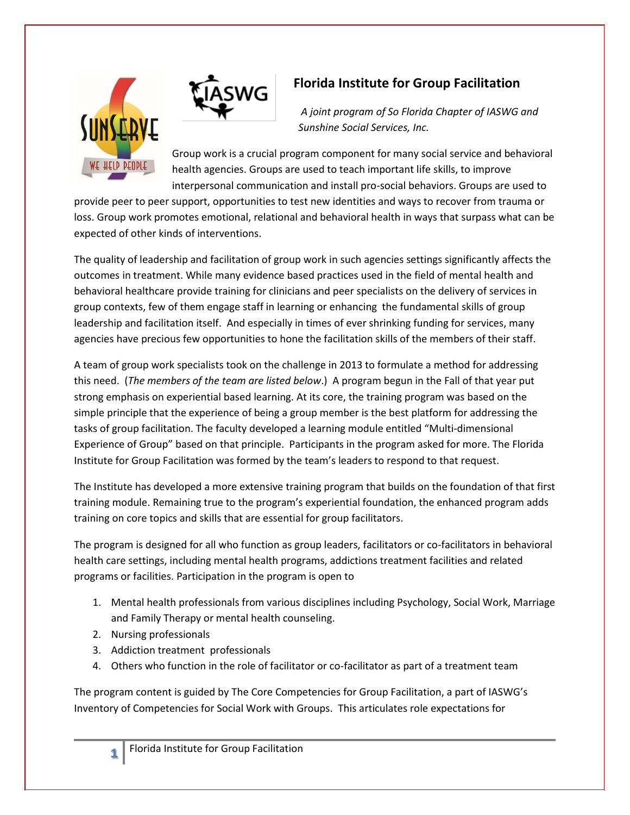

MÉ HÉID DÉODIÉ

# **Florida Institute for Group Facilitation**

*A joint program of So Florida Chapter of IASWG and Sunshine Social Services, Inc.*

Group work is a crucial program component for many social service and behavioral health agencies. Groups are used to teach important life skills, to improve interpersonal communication and install pro-social behaviors. Groups are used to

provide peer to peer support, opportunities to test new identities and ways to recover from trauma or loss. Group work promotes emotional, relational and behavioral health in ways that surpass what can be expected of other kinds of interventions.

The quality of leadership and facilitation of group work in such agencies settings significantly affects the outcomes in treatment. While many evidence based practices used in the field of mental health and behavioral healthcare provide training for clinicians and peer specialists on the delivery of services in group contexts, few of them engage staff in learning or enhancing the fundamental skills of group leadership and facilitation itself. And especially in times of ever shrinking funding for services, many agencies have precious few opportunities to hone the facilitation skills of the members of their staff.

A team of group work specialists took on the challenge in 2013 to formulate a method for addressing this need. (*The members of the team are listed below*.) A program begun in the Fall of that year put strong emphasis on experiential based learning. At its core, the training program was based on the simple principle that the experience of being a group member is the best platform for addressing the tasks of group facilitation. The faculty developed a learning module entitled "Multi-dimensional Experience of Group" based on that principle. Participants in the program asked for more. The Florida Institute for Group Facilitation was formed by the team's leaders to respond to that request.

The Institute has developed a more extensive training program that builds on the foundation of that first training module. Remaining true to the program's experiential foundation, the enhanced program adds training on core topics and skills that are essential for group facilitators.

The program is designed for all who function as group leaders, facilitators or co-facilitators in behavioral health care settings, including mental health programs, addictions treatment facilities and related programs or facilities. Participation in the program is open to

- 1. Mental health professionals from various disciplines including Psychology, Social Work, Marriage and Family Therapy or mental health counseling.
- 2. Nursing professionals
- 3. Addiction treatment professionals
- 4. Others who function in the role of facilitator or co-facilitator as part of a treatment team

The program content is guided by The Core Competencies for Group Facilitation, a part of IASWG's Inventory of Competencies for Social Work with Groups. This articulates role expectations for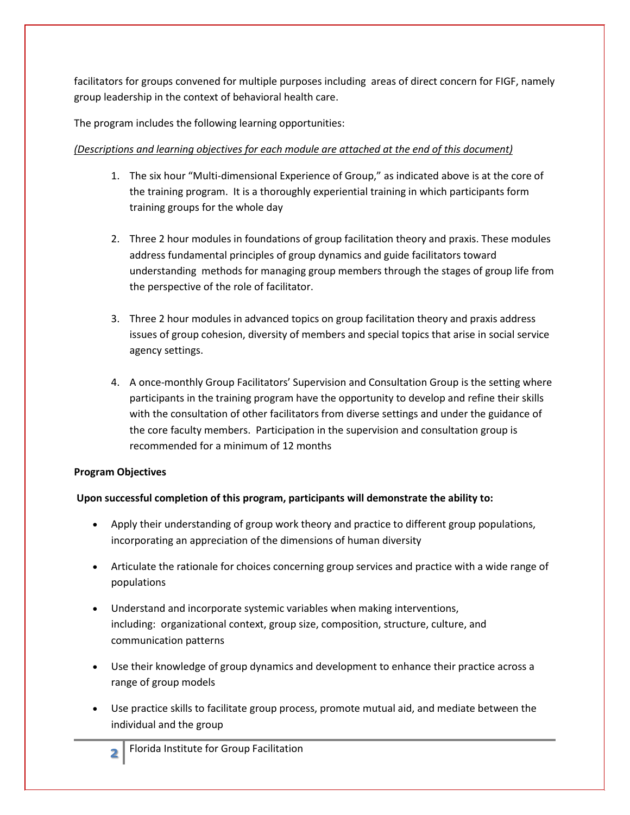facilitators for groups convened for multiple purposes including areas of direct concern for FIGF, namely group leadership in the context of behavioral health care.

The program includes the following learning opportunities:

### *(Descriptions and learning objectives for each module are attached at the end of this document)*

- 1. The six hour "Multi-dimensional Experience of Group," as indicated above is at the core of the training program. It is a thoroughly experiential training in which participants form training groups for the whole day
- 2. Three 2 hour modules in foundations of group facilitation theory and praxis. These modules address fundamental principles of group dynamics and guide facilitators toward understanding methods for managing group members through the stages of group life from the perspective of the role of facilitator.
- 3. Three 2 hour modules in advanced topics on group facilitation theory and praxis address issues of group cohesion, diversity of members and special topics that arise in social service agency settings.
- 4. A once-monthly Group Facilitators' Supervision and Consultation Group is the setting where participants in the training program have the opportunity to develop and refine their skills with the consultation of other facilitators from diverse settings and under the guidance of the core faculty members. Participation in the supervision and consultation group is recommended for a minimum of 12 months

### **Program Objectives**

## **Upon successful completion of this program, participants will demonstrate the ability to:**

- Apply their understanding of group work theory and practice to different group populations, incorporating an appreciation of the dimensions of human diversity
- Articulate the rationale for choices concerning group services and practice with a wide range of populations
- Understand and incorporate systemic variables when making interventions, including: organizational context, group size, composition, structure, culture, and communication patterns
- Use their knowledge of group dynamics and development to enhance their practice across a range of group models
- Use practice skills to facilitate group process, promote mutual aid, and mediate between the individual and the group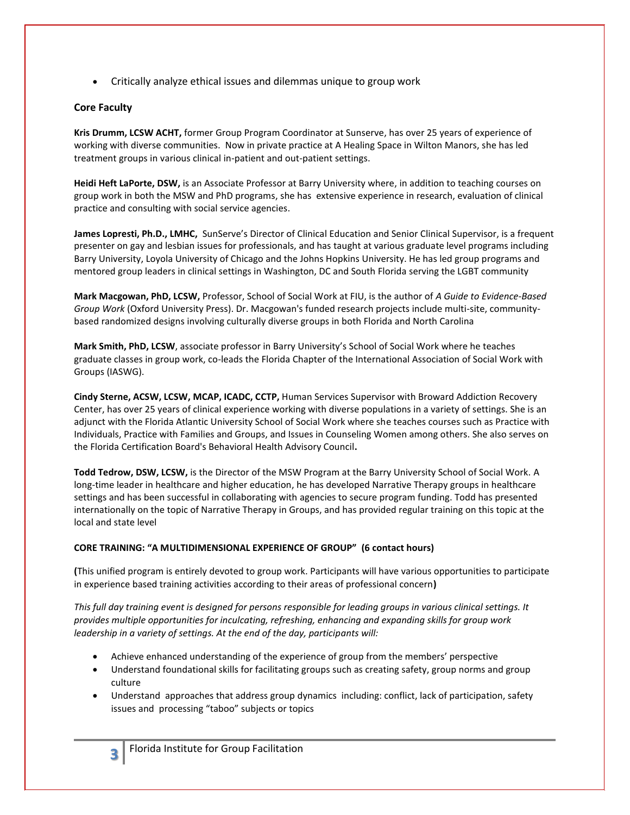• Critically analyze ethical issues and dilemmas unique to group work

#### **Core Faculty**

**Kris Drumm, LCSW ACHT,** former Group Program Coordinator at Sunserve, has over 25 years of experience of working with diverse communities. Now in private practice at A Healing Space in Wilton Manors, she has led treatment groups in various clinical in-patient and out-patient settings.

**Heidi Heft LaPorte, DSW,** is an Associate Professor at Barry University where, in addition to teaching courses on group work in both the MSW and PhD programs, she has extensive experience in research, evaluation of clinical practice and consulting with social service agencies.

**James Lopresti, Ph.D., LMHC,** SunServe's Director of Clinical Education and Senior Clinical Supervisor, is a frequent presenter on gay and lesbian issues for professionals, and has taught at various graduate level programs including Barry University, Loyola University of Chicago and the Johns Hopkins University. He has led group programs and mentored group leaders in clinical settings in Washington, DC and South Florida serving the LGBT community

**Mark Macgowan, PhD, LCSW,** Professor, School of Social Work at FIU, is the author of *A Guide to Evidence-Based Group Work* (Oxford University Press). Dr. Macgowan's funded research projects include multi-site, communitybased randomized designs involving culturally diverse groups in both Florida and North Carolina

**Mark Smith, PhD, LCSW**, associate professor in Barry University's School of Social Work where he teaches graduate classes in group work, co-leads the Florida Chapter of the International Association of Social Work with Groups (IASWG).

**Cindy Sterne, ACSW, LCSW, MCAP, ICADC, CCTP,** Human Services Supervisor with Broward Addiction Recovery Center, has over 25 years of clinical experience working with diverse populations in a variety of settings. She is an adjunct with the Florida Atlantic University School of Social Work where she teaches courses such as Practice with Individuals, Practice with Families and Groups, and Issues in Counseling Women among others. She also serves on the Florida Certification Board's Behavioral Health Advisory Council**.**

**Todd Tedrow, DSW, LCSW,** is the Director of the MSW Program at the Barry University School of Social Work. A long-time leader in healthcare and higher education, he has developed Narrative Therapy groups in healthcare settings and has been successful in collaborating with agencies to secure program funding. Todd has presented internationally on the topic of Narrative Therapy in Groups, and has provided regular training on this topic at the local and state level

#### **CORE TRAINING: "A MULTIDIMENSIONAL EXPERIENCE OF GROUP" (6 contact hours)**

**(**This unified program is entirely devoted to group work. Participants will have various opportunities to participate in experience based training activities according to their areas of professional concern**)**

*This full day training event is designed for persons responsible for leading groups in various clinical settings. It provides multiple opportunities for inculcating, refreshing, enhancing and expanding skills for group work leadership in a variety of settings. At the end of the day, participants will:*

- Achieve enhanced understanding of the experience of group from the members' perspective
- Understand foundational skills for facilitating groups such as creating safety, group norms and group culture
- Understand approaches that address group dynamics including: conflict, lack of participation, safety issues and processing "taboo" subjects or topics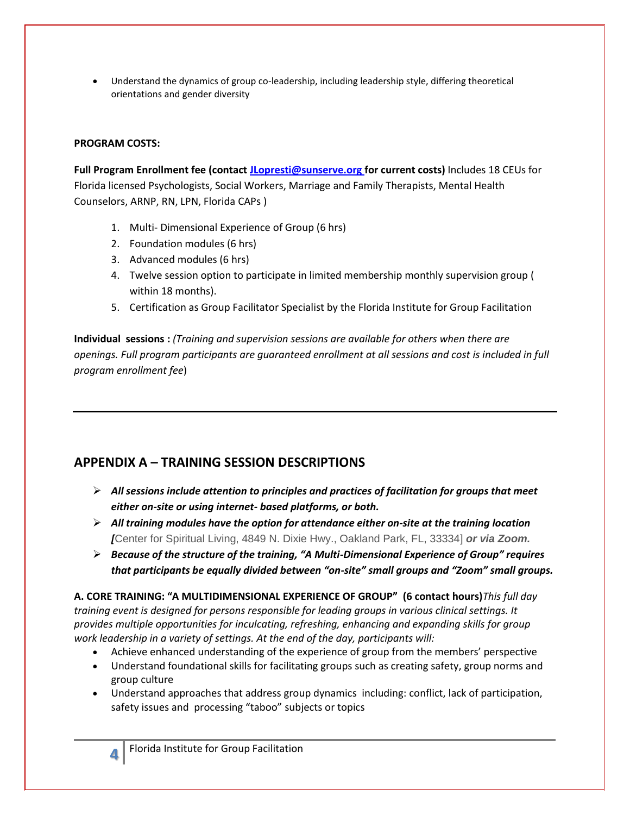• Understand the dynamics of group co-leadership, including leadership style, differing theoretical orientations and gender diversity

### **PROGRAM COSTS:**

**Full Program Enrollment fee (contac[t JLopresti@sunserve.org](mailto:JLopresti@sunserve.org) for current costs)** Includes 18 CEUs for Florida licensed Psychologists, Social Workers, Marriage and Family Therapists, Mental Health Counselors, ARNP, RN, LPN, Florida CAPs )

- 1. Multi- Dimensional Experience of Group (6 hrs)
- 2. Foundation modules (6 hrs)
- 3. Advanced modules (6 hrs)
- 4. Twelve session option to participate in limited membership monthly supervision group ( within 18 months).
- 5. Certification as Group Facilitator Specialist by the Florida Institute for Group Facilitation

**Individual sessions :** *(Training and supervision sessions are available for others when there are openings. Full program participants are guaranteed enrollment at all sessions and cost is included in full program enrollment fee*)

## **APPENDIX A – TRAINING SESSION DESCRIPTIONS**

- ➢ *All sessions include attention to principles and practices of facilitation for groups that meet either on-site or using internet- based platforms, or both.*
- ➢ *All training modules have the option for attendance either on-site at the training location [*Center for Spiritual Living, 4849 N. Dixie Hwy., Oakland Park, FL, 33334] *or via Zoom.*
- ➢ *Because of the structure of the training, "A Multi-Dimensional Experience of Group" requires that participants be equally divided between "on-site" small groups and "Zoom" small groups.*

**A. CORE TRAINING: "A MULTIDIMENSIONAL EXPERIENCE OF GROUP" (6 contact hours)***This full day training event is designed for persons responsible for leading groups in various clinical settings. It provides multiple opportunities for inculcating, refreshing, enhancing and expanding skills for group work leadership in a variety of settings. At the end of the day, participants will:*

- Achieve enhanced understanding of the experience of group from the members' perspective
- Understand foundational skills for facilitating groups such as creating safety, group norms and group culture
- Understand approaches that address group dynamics including: conflict, lack of participation, safety issues and processing "taboo" subjects or topics

**4**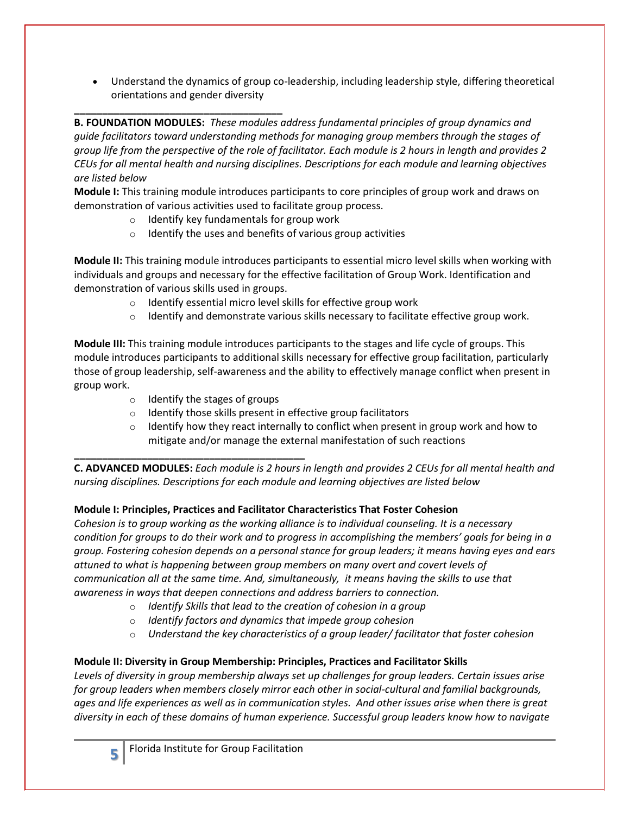• Understand the dynamics of group co-leadership, including leadership style, differing theoretical orientations and gender diversity

**\_\_\_\_\_\_\_\_\_\_\_\_\_\_\_\_\_\_\_\_\_\_\_\_\_\_\_\_\_\_\_\_\_\_\_\_\_ B. FOUNDATION MODULES:** *These modules address fundamental principles of group dynamics and guide facilitators toward understanding methods for managing group members through the stages of group life from the perspective of the role of facilitator. Each module is 2 hours in length and provides 2 CEUs for all mental health and nursing disciplines. Descriptions for each module and learning objectives are listed below*

**Module I:** This training module introduces participants to core principles of group work and draws on demonstration of various activities used to facilitate group process.

- o Identify key fundamentals for group work
- $\circ$  Identify the uses and benefits of various group activities

**Module II:** This training module introduces participants to essential micro level skills when working with individuals and groups and necessary for the effective facilitation of Group Work. Identification and demonstration of various skills used in groups.

- o Identify essential micro level skills for effective group work
- $\circ$  Identify and demonstrate various skills necessary to facilitate effective group work.

**Module III:** This training module introduces participants to the stages and life cycle of groups. This module introduces participants to additional skills necessary for effective group facilitation, particularly those of group leadership, self-awareness and the ability to effectively manage conflict when present in group work.

- o Identify the stages of groups
- o Identify those skills present in effective group facilitators
- $\circ$  Identify how they react internally to conflict when present in group work and how to mitigate and/or manage the external manifestation of such reactions

**\_\_\_\_\_\_\_\_\_\_\_\_\_\_\_\_\_\_\_\_\_\_\_\_\_\_\_\_\_\_\_\_\_\_\_\_\_\_\_\_\_ C. ADVANCED MODULES:** *Each module is 2 hours in length and provides 2 CEUs for all mental health and nursing disciplines. Descriptions for each module and learning objectives are listed below*

## **Module I: Principles, Practices and Facilitator Characteristics That Foster Cohesion**

*Cohesion is to group working as the working alliance is to individual counseling. It is a necessary condition for groups to do their work and to progress in accomplishing the members' goals for being in a group. Fostering cohesion depends on a personal stance for group leaders; it means having eyes and ears attuned to what is happening between group members on many overt and covert levels of communication all at the same time. And, simultaneously, it means having the skills to use that awareness in ways that deepen connections and address barriers to connection.*

- o *Identify Skills that lead to the creation of cohesion in a group*
- o *Identify factors and dynamics that impede group cohesion*
- o *Understand the key characteristics of a group leader/ facilitator that foster cohesion*

## **Module II: Diversity in Group Membership: Principles, Practices and Facilitator Skills**

*Levels of diversity in group membership always set up challenges for group leaders. Certain issues arise for group leaders when members closely mirror each other in social-cultural and familial backgrounds, ages and life experiences as well as in communication styles. And other issues arise when there is great diversity in each of these domains of human experience. Successful group leaders know how to navigate* 

**5**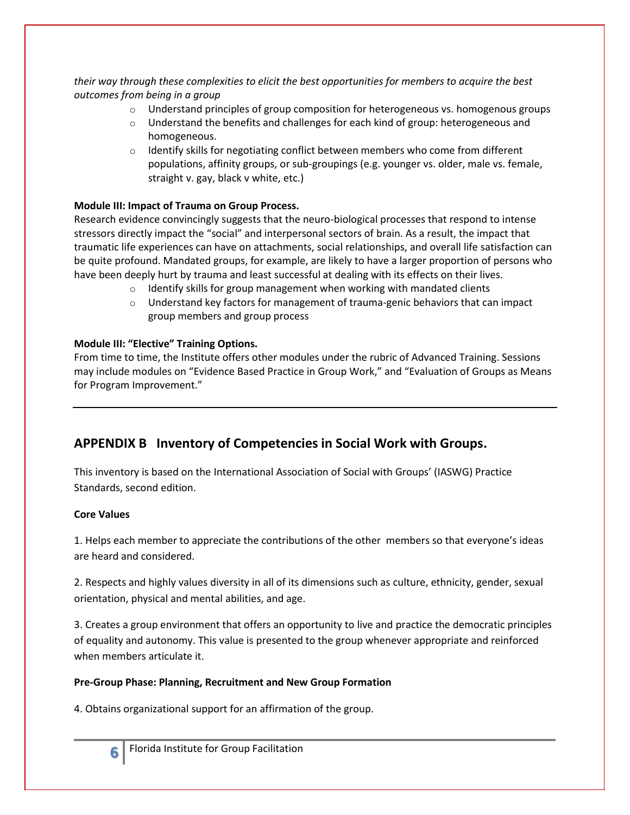*their way through these complexities to elicit the best opportunities for members to acquire the best outcomes from being in a group*

- $\circ$  Understand principles of group composition for heterogeneous vs. homogenous groups
- $\circ$  Understand the benefits and challenges for each kind of group: heterogeneous and homogeneous.
- $\circ$  Identify skills for negotiating conflict between members who come from different populations, affinity groups, or sub-groupings (e.g. younger vs. older, male vs. female, straight v. gay, black v white, etc.)

## **Module III: Impact of Trauma on Group Process.**

Research evidence convincingly suggests that the neuro-biological processes that respond to intense stressors directly impact the "social" and interpersonal sectors of brain. As a result, the impact that traumatic life experiences can have on attachments, social relationships, and overall life satisfaction can be quite profound. Mandated groups, for example, are likely to have a larger proportion of persons who have been deeply hurt by trauma and least successful at dealing with its effects on their lives.

- o Identify skills for group management when working with mandated clients
- $\circ$  Understand key factors for management of trauma-genic behaviors that can impact group members and group process

## **Module III: "Elective" Training Options.**

From time to time, the Institute offers other modules under the rubric of Advanced Training. Sessions may include modules on "Evidence Based Practice in Group Work," and "Evaluation of Groups as Means for Program Improvement."

# **APPENDIX B Inventory of Competencies in Social Work with Groups.**

This inventory is based on the International Association of Social with Groups' (IASWG) Practice Standards, second edition.

## **Core Values**

1. Helps each member to appreciate the contributions of the other members so that everyone's ideas are heard and considered.

2. Respects and highly values diversity in all of its dimensions such as culture, ethnicity, gender, sexual orientation, physical and mental abilities, and age.

3. Creates a group environment that offers an opportunity to live and practice the democratic principles of equality and autonomy. This value is presented to the group whenever appropriate and reinforced when members articulate it.

## **Pre-Group Phase: Planning, Recruitment and New Group Formation**

4. Obtains organizational support for an affirmation of the group.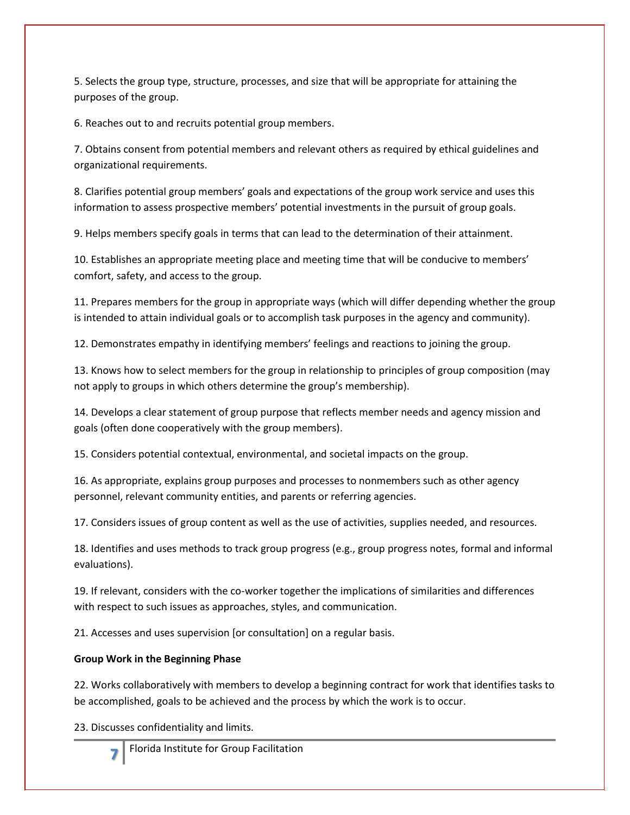5. Selects the group type, structure, processes, and size that will be appropriate for attaining the purposes of the group.

6. Reaches out to and recruits potential group members.

7. Obtains consent from potential members and relevant others as required by ethical guidelines and organizational requirements.

8. Clarifies potential group members' goals and expectations of the group work service and uses this information to assess prospective members' potential investments in the pursuit of group goals.

9. Helps members specify goals in terms that can lead to the determination of their attainment.

10. Establishes an appropriate meeting place and meeting time that will be conducive to members' comfort, safety, and access to the group.

11. Prepares members for the group in appropriate ways (which will differ depending whether the group is intended to attain individual goals or to accomplish task purposes in the agency and community).

12. Demonstrates empathy in identifying members' feelings and reactions to joining the group.

13. Knows how to select members for the group in relationship to principles of group composition (may not apply to groups in which others determine the group's membership).

14. Develops a clear statement of group purpose that reflects member needs and agency mission and goals (often done cooperatively with the group members).

15. Considers potential contextual, environmental, and societal impacts on the group.

16. As appropriate, explains group purposes and processes to nonmembers such as other agency personnel, relevant community entities, and parents or referring agencies.

17. Considers issues of group content as well as the use of activities, supplies needed, and resources.

18. Identifies and uses methods to track group progress (e.g., group progress notes, formal and informal evaluations).

19. If relevant, considers with the co-worker together the implications of similarities and differences with respect to such issues as approaches, styles, and communication.

21. Accesses and uses supervision [or consultation] on a regular basis.

## **Group Work in the Beginning Phase**

22. Works collaboratively with members to develop a beginning contract for work that identifies tasks to be accomplished, goals to be achieved and the process by which the work is to occur.

23. Discusses confidentiality and limits.

**7**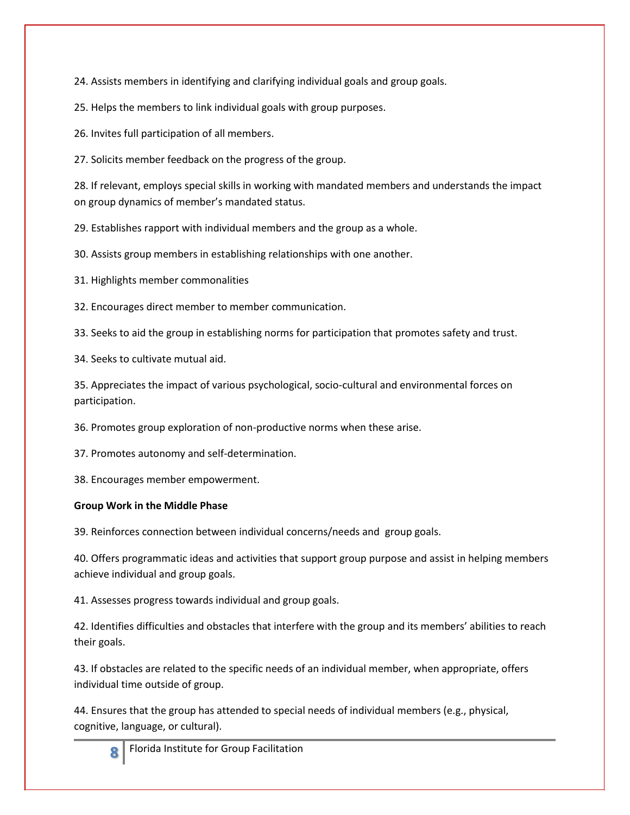24. Assists members in identifying and clarifying individual goals and group goals.

25. Helps the members to link individual goals with group purposes.

26. Invites full participation of all members.

27. Solicits member feedback on the progress of the group.

28. If relevant, employs special skills in working with mandated members and understands the impact on group dynamics of member's mandated status.

29. Establishes rapport with individual members and the group as a whole.

30. Assists group members in establishing relationships with one another.

31. Highlights member commonalities

32. Encourages direct member to member communication.

33. Seeks to aid the group in establishing norms for participation that promotes safety and trust.

34. Seeks to cultivate mutual aid.

35. Appreciates the impact of various psychological, socio-cultural and environmental forces on participation.

36. Promotes group exploration of non-productive norms when these arise.

37. Promotes autonomy and self-determination.

38. Encourages member empowerment.

## **Group Work in the Middle Phase**

39. Reinforces connection between individual concerns/needs and group goals.

40. Offers programmatic ideas and activities that support group purpose and assist in helping members achieve individual and group goals.

41. Assesses progress towards individual and group goals.

42. Identifies difficulties and obstacles that interfere with the group and its members' abilities to reach their goals.

43. If obstacles are related to the specific needs of an individual member, when appropriate, offers individual time outside of group.

44. Ensures that the group has attended to special needs of individual members (e.g., physical, cognitive, language, or cultural).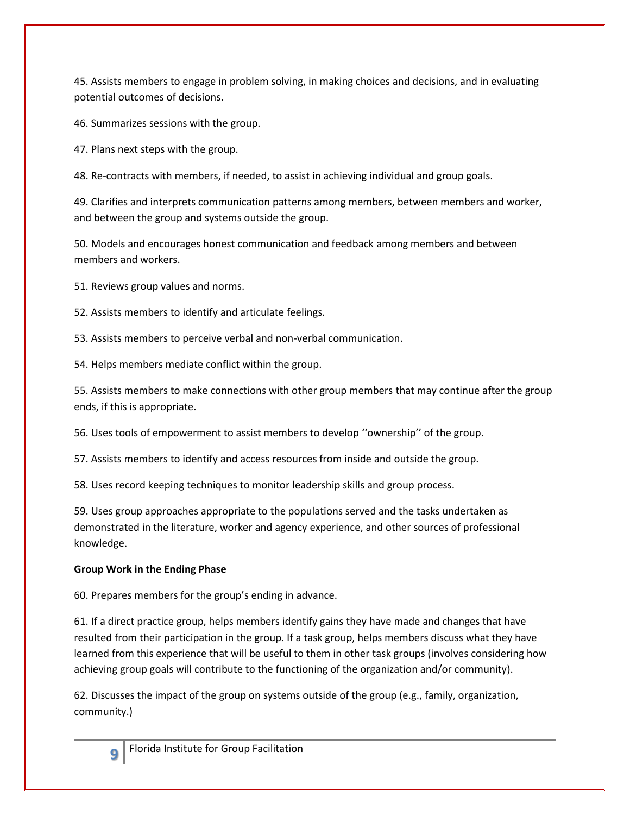45. Assists members to engage in problem solving, in making choices and decisions, and in evaluating potential outcomes of decisions.

46. Summarizes sessions with the group.

47. Plans next steps with the group.

48. Re-contracts with members, if needed, to assist in achieving individual and group goals.

49. Clarifies and interprets communication patterns among members, between members and worker, and between the group and systems outside the group.

50. Models and encourages honest communication and feedback among members and between members and workers.

51. Reviews group values and norms.

52. Assists members to identify and articulate feelings.

53. Assists members to perceive verbal and non-verbal communication.

54. Helps members mediate conflict within the group.

55. Assists members to make connections with other group members that may continue after the group ends, if this is appropriate.

56. Uses tools of empowerment to assist members to develop ''ownership'' of the group.

57. Assists members to identify and access resources from inside and outside the group.

58. Uses record keeping techniques to monitor leadership skills and group process.

59. Uses group approaches appropriate to the populations served and the tasks undertaken as demonstrated in the literature, worker and agency experience, and other sources of professional knowledge.

### **Group Work in the Ending Phase**

60. Prepares members for the group's ending in advance.

61. If a direct practice group, helps members identify gains they have made and changes that have resulted from their participation in the group. If a task group, helps members discuss what they have learned from this experience that will be useful to them in other task groups (involves considering how achieving group goals will contribute to the functioning of the organization and/or community).

62. Discusses the impact of the group on systems outside of the group (e.g., family, organization, community.)